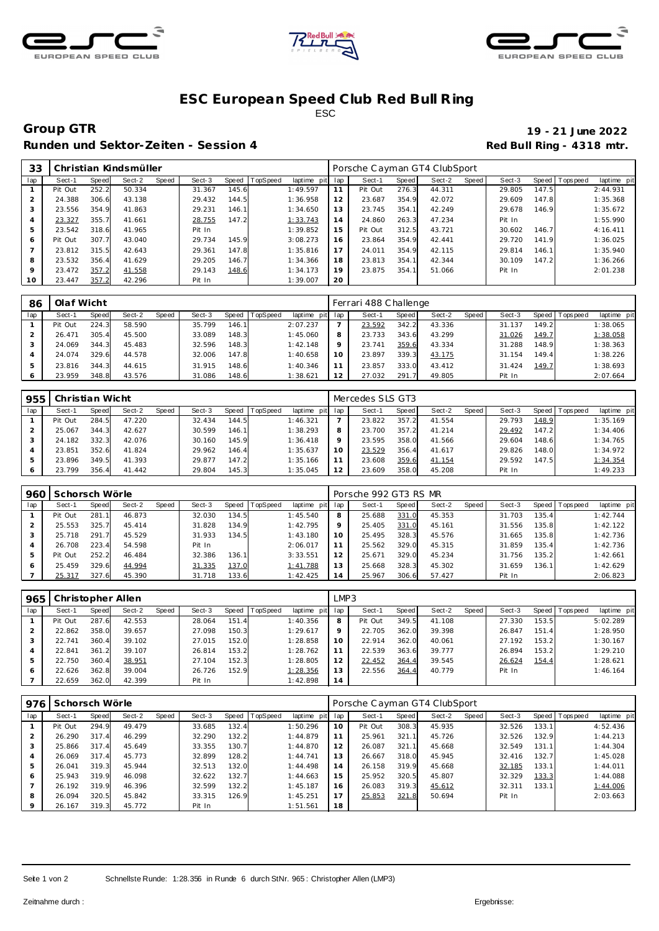





## **ESC European Speed C lub Red Bull R ing** ESC

Runden und Sektor-Zeiten - Session 4 **Runden und Sektor-Zeiten - Session 4 Red Bull Ring - 4318 mtr.** 

**Group GTR 19 - 21 June 2022**

| 33  | Christian Kindsmüller |       |        |       |        |       |                |             |     | Porsche Cayman GT4 ClubSport |       |        |       |        |       |                 |             |  |  |
|-----|-----------------------|-------|--------|-------|--------|-------|----------------|-------------|-----|------------------------------|-------|--------|-------|--------|-------|-----------------|-------------|--|--|
| lap | Sect-1                | Speed | Sect-2 | Speed | Sect-3 |       | Speed TopSpeed | laptime pit | lap | Sect-1                       | Speed | Sect-2 | Speed | Sect-3 |       | Speed Tops peed | laptime pit |  |  |
|     | Pit Out               | 252.2 | 50.334 |       | 31.367 | 145.6 |                | 1:49.597    | 11  | Pit Out                      | 276.3 | 44.311 |       | 29.805 | 147.5 |                 | 2:44.931    |  |  |
|     | 24.388                | 306.6 | 43.138 |       | 29.432 | 144.5 |                | 1:36.958    | 12  | 23.687                       | 354.9 | 42.072 |       | 29.609 | 147.8 |                 | 1:35.368    |  |  |
|     | 23.556                | 354.9 | 41.863 |       | 29.231 | 146.1 |                | 1:34.650    | 13  | 23.745                       | 354.1 | 42.249 |       | 29.678 | 146.9 |                 | 1:35.672    |  |  |
|     | 23.327                | 355.7 | 41.661 |       | 28.755 | 147.2 |                | 1:33.743    | 14  | 24.860                       | 263.3 | 47.234 |       | Pit In |       |                 | 1:55.990    |  |  |
| 5   | 23.542                | 318.6 | 41.965 |       | Pit In |       |                | 1:39.852    | 15  | Pit Out                      | 312.5 | 43.721 |       | 30.602 | 146.7 |                 | 4:16.411    |  |  |
| 6   | Pit Out               | 307.7 | 43.040 |       | 29.734 | 145.9 |                | 3:08.273    | 16  | 23.864                       | 354.9 | 42.441 |       | 29.720 | 141.9 |                 | 1:36.025    |  |  |
|     | 23.812                | 315.5 | 42.643 |       | 29.361 | 147.8 |                | 1:35.816    | 17  | 24.011                       | 354.9 | 42.115 |       | 29.814 | 146.1 |                 | 1:35.940    |  |  |
| 8   | 23.532                | 356.4 | 41.629 |       | 29.205 | 146.7 |                | 1:34.366    | 18  | 23.813                       | 354.1 | 42.344 |       | 30.109 | 147.2 |                 | 1:36.266    |  |  |
| 9   | 23.472                | 357.2 | 41.558 |       | 29.143 | 148.6 |                | 1:34.173    | 19  | 23.875                       | 354.1 | 51.066 |       | Pit In |       |                 | 2:01.238    |  |  |
| 10  | 23.447                | 357.2 | 42.296 |       | Pit In |       |                | 1:39.007    | 20  |                              |       |        |       |        |       |                 |             |  |  |

| 86  | Olaf Wicht |              |        |       |        |       |                 |             | Ferrari 488 Challenge |        |       |        |       |        |         |           |             |  |  |
|-----|------------|--------------|--------|-------|--------|-------|-----------------|-------------|-----------------------|--------|-------|--------|-------|--------|---------|-----------|-------------|--|--|
| lap | Sect-1     | <b>Speed</b> | Sect-2 | Speed | Sect-3 | Speed | <b>TopSpeed</b> | laptime pit | lap                   | Sect-1 | Speed | Sect-2 | Speed | Sect-3 | Speed I | Tops peed | laptime pit |  |  |
|     | Pit Out    | 224.3        | 58.590 |       | 35.799 | 146.1 |                 | 2:07.237    |                       | 23.592 | 342.2 | 43.336 |       | 31.137 | 149.2   |           | 1:38.065    |  |  |
|     | 26.471     | 305.4        | 45.500 |       | 33.089 | 148.3 |                 | 1:45.060    | 8                     | 23.733 | 343.6 | 43.299 |       | 31.026 | 149.7   |           | 1:38.058    |  |  |
|     | 24.069     | 344.3        | 45.483 |       | 32.596 | 148.3 |                 | 1:42.148    |                       | 23.741 | 359.6 | 43.334 |       | 31.288 | 148.9   |           | 1:38.363    |  |  |
|     | 24.074     | 329.6        | 44.578 |       | 32.006 | 147.8 |                 | 1:40.658    |                       | 23.897 | 339.3 | 43.175 |       | 31.154 | 149.41  |           | 1:38.226    |  |  |
|     | 23.816     | 344.3        | 44.615 |       | 31.915 | 148.6 |                 | 1:40.346    |                       | 23.857 | 333.0 | 43.412 |       | 31.424 | 149.7   |           | 1:38.693    |  |  |
|     | 23.959     | 348.8        | 43.576 |       | 31.086 | 148.6 |                 | 1:38.621    | 12                    | 27.032 | 291.7 | 49.805 |       | Pit In |         |           | 2:07.664    |  |  |

| 955 | Christian Wicht |       |        |       |        |       |                 |             |     | Mercedes SLS GT3 |       |        |       |        |       |                |             |  |  |  |
|-----|-----------------|-------|--------|-------|--------|-------|-----------------|-------------|-----|------------------|-------|--------|-------|--------|-------|----------------|-------------|--|--|--|
| lap | Sect-1          | Speed | Sect-2 | Speed | Sect-3 | Speed | <b>TopSpeed</b> | laptime pit | lap | Sect-1           | Speed | Sect-2 | Speed | Sect-3 |       | Speed Topspeed | laptime pit |  |  |  |
|     | Pit Out         | 284.5 | 47.220 |       | 32.434 | 144.5 |                 | 1:46.321    |     | 23.822           | 357.2 | 41.554 |       | 29.793 | 148.9 |                | 1:35.169    |  |  |  |
|     | 25.067          | 344.3 | 42.627 |       | 30.599 | 146.1 |                 | 1:38.293    | 8   | 23.700           | 357.2 | 41.214 |       | 29.492 | 147.2 |                | 1:34.406    |  |  |  |
|     | 24.182          | 332.3 | 42.076 |       | 30.160 | 145.9 |                 | 1:36.418    |     | 23.595           | 358.0 | 41.566 |       | 29.604 | 148.6 |                | 1:34.765    |  |  |  |
|     | 23.851          | 352.6 | 41.824 |       | 29.962 | 146.4 |                 | 1:35.637    |     | 23.529           | 356.4 | 41.617 |       | 29.826 | 148.0 |                | 1:34.972    |  |  |  |
|     | 23.896          | 349.5 | 41.393 |       | 29.877 | 147.2 |                 | 1:35.166    |     | 23.608           | 359.6 | 41.154 |       | 29.592 | 147.5 |                | 1:34.354    |  |  |  |
| 6   | 23.799          | 356.4 | 41.442 |       | 29.804 | 145.3 |                 | 1:35.045    | 12  | 23.609           | 358.0 | 45.208 |       | Pit In |       |                | 1:49.233    |  |  |  |

| 960 | Schorsch Wörle |       |        |              |        |       |                 |             | Porsche 992 GT3 RS MR |        |       |        |       |        |       |           |             |  |
|-----|----------------|-------|--------|--------------|--------|-------|-----------------|-------------|-----------------------|--------|-------|--------|-------|--------|-------|-----------|-------------|--|
| lap | Sect-1         | Speed | Sect-2 | <b>Speed</b> | Sect-3 | Speed | <b>TopSpeed</b> | laptime pit | lap                   | Sect-1 | Speed | Sect-2 | Speed | Sect-3 | Speed | Tops peed | laptime pit |  |
|     | Pit Out        | 281.1 | 46.873 |              | 32.030 | 134.5 |                 | 1:45.540    | 8                     | 25.688 | 331.0 | 45.353 |       | 31.703 | 135.4 |           | 1:42.744    |  |
|     | 25.553         | 325.7 | 45.414 |              | 31.828 | 134.9 |                 | 1:42.795    | $\circ$               | 25.405 | 331.0 | 45.161 |       | 31.556 | 135.8 |           | 1:42.122    |  |
|     | 25.718         | 291.7 | 45.529 |              | 31.933 | 134.5 |                 | 1:43.180    | 10                    | 25.495 | 328.3 | 45.576 |       | 31.665 | 135.8 |           | 1:42.736    |  |
|     | 26.708         | 223.4 | 54.598 |              | Pit In |       |                 | 2:06.017    |                       | 25.562 | 329.0 | 45.315 |       | 31.859 | 135.4 |           | 1:42.736    |  |
| 5   | Pit Out        | 252.2 | 46.484 |              | 32.386 | 136.1 |                 | 3:33.551    | 12                    | 25.671 | 329.0 | 45.234 |       | 31.756 | 135.2 |           | 1:42.661    |  |
| 6   | 25.459         | 329.6 | 44.994 |              | 31.335 | 137.0 |                 | 1:41.788    | 13                    | 25.668 | 328.3 | 45.302 |       | 31.659 | 136.1 |           | 1:42.629    |  |
|     | 25.317         | 327.6 | 45.390 |              | 31.718 | 133.6 |                 | 1:42.425    | 14                    | 25.967 | 306.6 | 57.427 |       | Pit In |       |           | 2:06.823    |  |

| 965 | Christopher Allen |       |        |       |        |       |          |                 |         | LMP3    |       |        |       |        |       |                 |             |  |  |  |
|-----|-------------------|-------|--------|-------|--------|-------|----------|-----------------|---------|---------|-------|--------|-------|--------|-------|-----------------|-------------|--|--|--|
| lap | Sect-1            | Speed | Sect-2 | Speed | Sect-3 | Speed | TopSpeed | laptime pit lap |         | Sect-1  | Speed | Sect-2 | Speed | Sect-3 |       | Speed Tops peed | laptime pit |  |  |  |
|     | Pit Out           | 287.6 | 42.553 |       | 28.064 | 151.4 |          | 1:40.356        | 8       | Pit Out | 349.5 | 41.108 |       | 27.330 | 153.5 |                 | 5:02.289    |  |  |  |
|     | 22.862            | 358.0 | 39.657 |       | 27.098 | 150.3 |          | 1:29.617        | $\circ$ | 22.705  | 362.0 | 39.398 |       | 26.847 | 151.4 |                 | 1:28.950    |  |  |  |
|     | 22.741            | 360.4 | 39.102 |       | 27.015 | 152.0 |          | 1:28.858        | 10      | 22.914  | 362.0 | 40.061 |       | 27.192 | 153.2 |                 | 1:30.167    |  |  |  |
|     | 22.841            | 361.2 | 39.107 |       | 26.814 | 153.2 |          | 1:28.762        | 11      | 22.539  | 363.6 | 39.777 |       | 26.894 | 153.2 |                 | 1:29.210    |  |  |  |
|     | 22.750            | 360.4 | 38.951 |       | 27.104 | 152.3 |          | 1:28.805        | 12      | 22.452  | 364.4 | 39.545 |       | 26.624 | 154.4 |                 | 1:28.621    |  |  |  |
|     | 22.626            | 362.8 | 39.004 |       | 26.726 | 152.9 |          | 1:28.356        | 13      | 22.556  | 364.4 | 40.779 |       | Pit In |       |                 | 1:46.164    |  |  |  |
|     | 22.659            | 362.0 | 42.399 |       | Pit In |       |          | 1:42.898        | 14      |         |       |        |       |        |       |                 |             |  |  |  |

| 976 | Schorsch Wörle |       |        |       |        | Porsche Cayman GT4 ClubSport |          |             |     |         |       |        |       |        |       |                   |             |
|-----|----------------|-------|--------|-------|--------|------------------------------|----------|-------------|-----|---------|-------|--------|-------|--------|-------|-------------------|-------------|
| lap | Sect-1         | Speed | Sect-2 | Speed | Sect-3 | Speed                        | TopSpeed | laptime pit | lap | Sect-1  | Speed | Sect-2 | Speed | Sect-3 |       | Speed   Tops peed | laptime pit |
|     | Pit Out        | 294.9 | 49.479 |       | 33.685 | 132.4                        |          | 1:50.296    | 10  | Pit Out | 308.3 | 45.935 |       | 32.526 | 133.1 |                   | 4:52.436    |
|     | 26.290         | 317.4 | 46.299 |       | 32.290 | 132.2                        |          | 1:44.879    | 11  | 25.961  | 321.1 | 45.726 |       | 32.526 | 132.9 |                   | 1:44.213    |
| 3   | 25.866         | 317.4 | 45.649 |       | 33.355 | 130.7                        |          | 1:44.870    | 12  | 26.087  | 321.1 | 45.668 |       | 32.549 | 131.1 |                   | 1:44.304    |
| 4   | 26.069         | 317.4 | 45.773 |       | 32.899 | 128.2                        |          | 1:44.741    | 13  | 26.667  | 318.0 | 45.945 |       | 32.416 | 132.7 |                   | 1:45.028    |
| 5   | 26.041         | 319.3 | 45.944 |       | 32.513 | 132.0                        |          | 1:44.498    | 14  | 26.158  | 319.9 | 45.668 |       | 32.185 | 133.1 |                   | 1:44.011    |
| 6   | 25.943         | 319.9 | 46.098 |       | 32.622 | 132.7                        |          | 1:44.663    | 15  | 25.952  | 320.5 | 45.807 |       | 32.329 | 133.3 |                   | 1:44.088    |
|     | 26.192         | 319.9 | 46.396 |       | 32.599 | 132.2                        |          | 1:45.187    | 16  | 26.083  | 319.3 | 45.612 |       | 32.311 | 133.1 |                   | 1:44.006    |
| 8   | 26.094         | 320.5 | 45.842 |       | 33.315 | 126.9                        |          | 1:45.251    | 17  | 25.853  | 321.8 | 50.694 |       | Pit In |       |                   | 2:03.663    |
|     | 26.167         | 319.3 | 45.772 |       | Pit In |                              |          | 1:51.561    | 18  |         |       |        |       |        |       |                   |             |